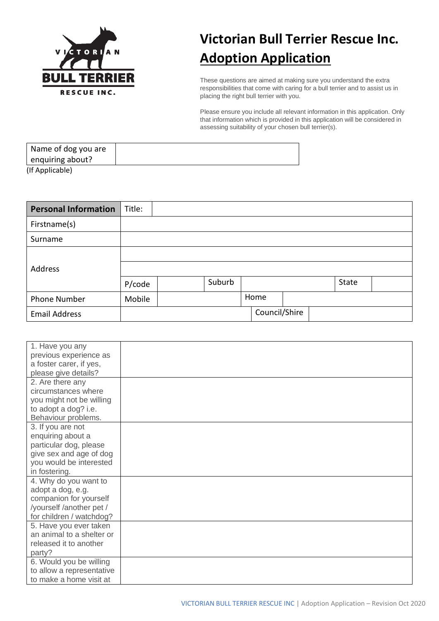

## **Victorian Bull Terrier Rescue Inc. Adoption Application**

These questions are aimed at making sure you understand the extra responsibilities that come with caring for a bull terrier and to assist us in placing the right bull terrier with you.

Please ensure you include all relevant information in this application. Only that information which is provided in this application will be considered in assessing suitability of your chosen bull terrier(s).

| Name of dog you are |  |
|---------------------|--|
| enquiring about?    |  |
| (If Applicable)     |  |

| <b>Personal Information</b> | Title: |        |               |  |       |  |
|-----------------------------|--------|--------|---------------|--|-------|--|
| Firstname(s)                |        |        |               |  |       |  |
| Surname                     |        |        |               |  |       |  |
|                             |        |        |               |  |       |  |
| Address                     |        |        |               |  |       |  |
|                             | P/code | Suburb |               |  | State |  |
| Phone Number                | Mobile |        | Home          |  |       |  |
| <b>Email Address</b>        |        |        | Council/Shire |  |       |  |

| 1. Have you any           |  |
|---------------------------|--|
| previous experience as    |  |
| a foster carer, if yes,   |  |
| please give details?      |  |
| 2. Are there any          |  |
| circumstances where       |  |
| you might not be willing  |  |
| to adopt a dog? i.e.      |  |
| Behaviour problems.       |  |
| 3. If you are not         |  |
| enquiring about a         |  |
| particular dog, please    |  |
| give sex and age of dog   |  |
| you would be interested   |  |
| in fostering.             |  |
| 4. Why do you want to     |  |
| adopt a dog, e.g.         |  |
| companion for yourself    |  |
| /yourself /another pet /  |  |
| for children / watchdog?  |  |
| 5. Have you ever taken    |  |
| an animal to a shelter or |  |
| released it to another    |  |
| party?                    |  |
| 6. Would you be willing   |  |
| to allow a representative |  |
| to make a home visit at   |  |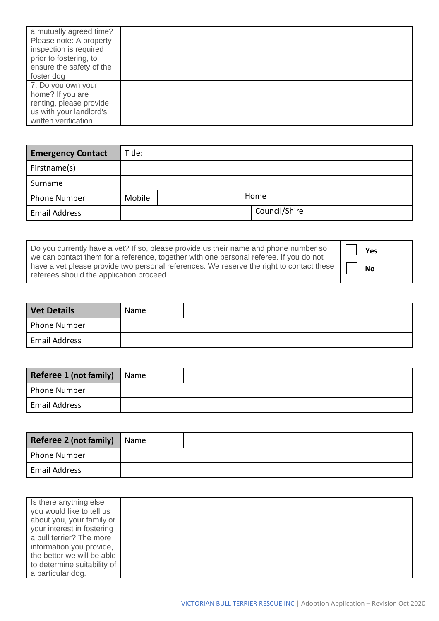| a mutually agreed time?<br>Please note: A property<br>inspection is required<br>prior to fostering, to<br>ensure the safety of the<br>foster dog |  |
|--------------------------------------------------------------------------------------------------------------------------------------------------|--|
| 7. Do you own your<br>home? If you are<br>renting, please provide<br>us with your landlord's                                                     |  |
| written verification                                                                                                                             |  |

| <b>Emergency Contact</b> | Title: |  |               |  |
|--------------------------|--------|--|---------------|--|
| Firstname(s)             |        |  |               |  |
| Surname                  |        |  |               |  |
| <b>Phone Number</b>      | Mobile |  | Home          |  |
| <b>Email Address</b>     |        |  | Council/Shire |  |

| Do you currently have a vet? If so, please provide us their name and phone number so<br>we can contact them for a reference, together with one personal referee. If you do not | Yes       |
|--------------------------------------------------------------------------------------------------------------------------------------------------------------------------------|-----------|
| have a vet please provide two personal references. We reserve the right to contact these $\vert \Gamma \vert$<br>referees should the application proceed                       | <b>No</b> |

| <b>Vet Details</b>   | Name |  |
|----------------------|------|--|
| <b>Phone Number</b>  |      |  |
| <b>Email Address</b> |      |  |

| Referee 1 (not family) | Name |  |
|------------------------|------|--|
| <b>Phone Number</b>    |      |  |
| <b>Email Address</b>   |      |  |

| Referee 2 (not family) | Name |  |
|------------------------|------|--|
| <b>Phone Number</b>    |      |  |
| <b>Email Address</b>   |      |  |

| Is there anything else      |  |
|-----------------------------|--|
| you would like to tell us   |  |
| about you, your family or   |  |
| your interest in fostering  |  |
| a bull terrier? The more    |  |
| information you provide,    |  |
| the better we will be able  |  |
| to determine suitability of |  |
| a particular dog.           |  |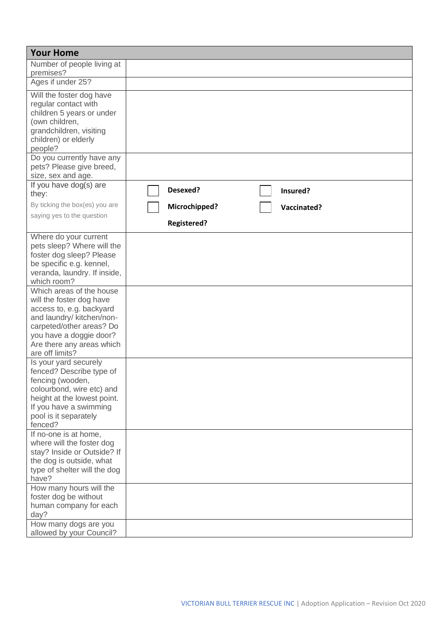| <b>Your Home</b>                                                                                                                                                                                                                                                            |                                     |
|-----------------------------------------------------------------------------------------------------------------------------------------------------------------------------------------------------------------------------------------------------------------------------|-------------------------------------|
| Number of people living at<br>premises?                                                                                                                                                                                                                                     |                                     |
| Ages if under 25?                                                                                                                                                                                                                                                           |                                     |
| Will the foster dog have<br>regular contact with<br>children 5 years or under<br>(own children,<br>grandchildren, visiting<br>children) or elderly<br>people?                                                                                                               |                                     |
| Do you currently have any<br>pets? Please give breed,<br>size, sex and age.                                                                                                                                                                                                 |                                     |
| If you have dog(s) are<br>they:                                                                                                                                                                                                                                             | Desexed?<br>Insured?                |
| By ticking the box(es) you are                                                                                                                                                                                                                                              | Microchipped?<br><b>Vaccinated?</b> |
| saying yes to the question                                                                                                                                                                                                                                                  | <b>Registered?</b>                  |
| Where do your current<br>pets sleep? Where will the<br>foster dog sleep? Please<br>be specific e.g. kennel,<br>veranda, laundry. If inside,<br>which room?<br>Which areas of the house<br>will the foster dog have<br>access to, e.g. backyard<br>and laundry/ kitchen/non- |                                     |
| carpeted/other areas? Do<br>you have a doggie door?<br>Are there any areas which<br>are off limits?                                                                                                                                                                         |                                     |
| Is your yard securely<br>fenced? Describe type of<br>fencing (wooden,<br>colourbond, wire etc) and<br>height at the lowest point.<br>If you have a swimming<br>pool is it separately<br>fenced?                                                                             |                                     |
| If no-one is at home,<br>where will the foster dog<br>stay? Inside or Outside? If<br>the dog is outside, what<br>type of shelter will the dog<br>have?                                                                                                                      |                                     |
| How many hours will the<br>foster dog be without<br>human company for each<br>day?<br>How many dogs are you                                                                                                                                                                 |                                     |
| allowed by your Council?                                                                                                                                                                                                                                                    |                                     |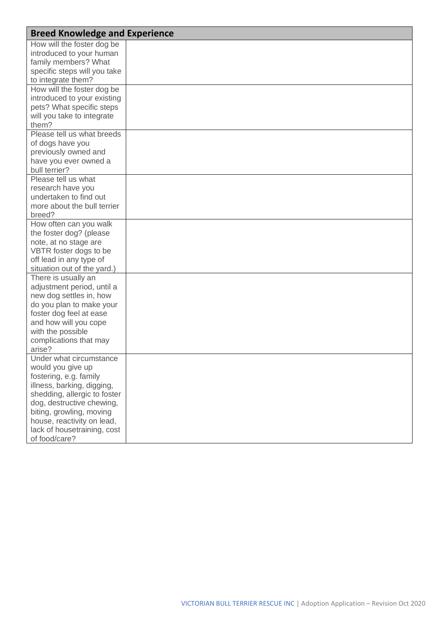| <b>Breed Knowledge and Experience</b> |  |
|---------------------------------------|--|
| How will the foster dog be            |  |
| introduced to your human              |  |
| family members? What                  |  |
| specific steps will you take          |  |
| to integrate them?                    |  |
| How will the foster dog be            |  |
| introduced to your existing           |  |
| pets? What specific steps             |  |
| will you take to integrate            |  |
| them?                                 |  |
| Please tell us what breeds            |  |
| of dogs have you                      |  |
| previously owned and                  |  |
| have you ever owned a                 |  |
| bull terrier?                         |  |
| Please tell us what                   |  |
| research have you                     |  |
| undertaken to find out                |  |
| more about the bull terrier           |  |
| breed?                                |  |
| How often can you walk                |  |
| the foster dog? (please               |  |
| note, at no stage are                 |  |
| VBTR foster dogs to be                |  |
| off lead in any type of               |  |
| situation out of the yard.)           |  |
| There is usually an                   |  |
| adjustment period, until a            |  |
| new dog settles in, how               |  |
| do you plan to make your              |  |
| foster dog feel at ease               |  |
| and how will you cope                 |  |
| with the possible                     |  |
| complications that may                |  |
| arise?                                |  |
| Under what circumstance               |  |
| would you give up                     |  |
| fostering, e.g. family                |  |
| illness, barking, digging,            |  |
| shedding, allergic to foster          |  |
| dog, destructive chewing,             |  |
| biting, growling, moving              |  |
| house, reactivity on lead,            |  |
| lack of housetraining, cost           |  |
| of food/care?                         |  |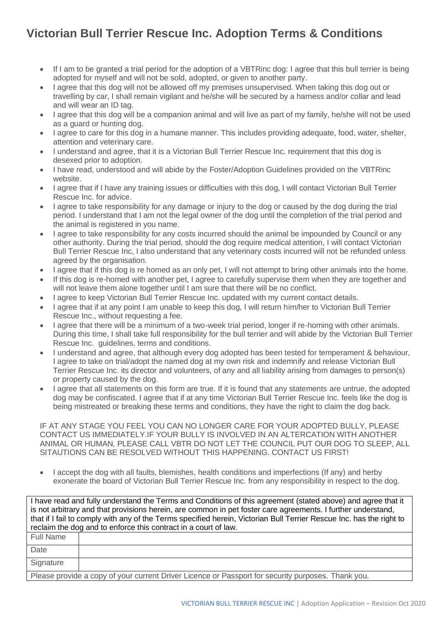## **Victorian Bull Terrier Rescue Inc. Adoption Terms & Conditions**

- If I am to be granted a trial period for the adoption of a VBTRinc dog: I agree that this bull terrier is being adopted for myself and will not be sold, adopted, or given to another party.
- I agree that this dog will not be allowed off my premises unsupervised. When taking this dog out or travelling by car, I shall remain vigilant and he/she will be secured by a harness and/or collar and lead and will wear an ID tag.
- I agree that this dog will be a companion animal and will live as part of my family, he/she will not be used as a guard or hunting dog.
- I agree to care for this dog in a humane manner. This includes providing adequate, food, water, shelter, attention and veterinary care.
- I understand and agree, that it is a Victorian Bull Terrier Rescue Inc. requirement that this dog is desexed prior to adoption.
- I have read, understood and will abide by the Foster/Adoption Guidelines provided on the VBTRinc website.
- I agree that if I have any training issues or difficulties with this dog, I will contact Victorian Bull Terrier Rescue Inc. for advice.
- I agree to take responsibility for any damage or injury to the dog or caused by the dog during the trial period. I understand that I am not the legal owner of the dog until the completion of the trial period and the animal is registered in you name.
- I agree to take responsibility for any costs incurred should the animal be impounded by Council or any other authority. During the trial period, should the dog require medical attention, I will contact Victorian Bull Terrier Rescue Inc, I also understand that any veterinary costs incurred will not be refunded unless agreed by the organisation.
- I agree that if this dog is re homed as an only pet, I will not attempt to bring other animals into the home.
- If this dog is re-homed with another pet. I agree to carefully supervise them when they are together and will not leave them alone together until I am sure that there will be no conflict.
- I agree to keep Victorian Bull Terrier Rescue Inc. updated with my current contact details.
- I agree that if at any point I am unable to keep this dog, I will return him/her to Victorian Bull Terrier Rescue Inc., without requesting a fee.
- I agree that there will be a minimum of a two-week trial period, longer if re-homing with other animals. During this time, I shall take full responsibility for the bull terrier and will abide by the Victorian Bull Terrier Rescue Inc. guidelines, terms and conditions.
- I understand and agree, that although every dog adopted has been tested for temperament & behaviour, I agree to take on trial/adopt the named dog at my own risk and indemnify and release Victorian Bull Terrier Rescue Inc. its director and volunteers, of any and all liability arising from damages to person(s) or property caused by the dog.
- I agree that all statements on this form are true. If it is found that any statements are untrue, the adopted dog may be confiscated. I agree that if at any time Victorian Bull Terrier Rescue Inc. feels like the dog is being mistreated or breaking these terms and conditions, they have the right to claim the dog back.

IF AT ANY STAGE YOU FEEL YOU CAN NO LONGER CARE FOR YOUR ADOPTED BULLY, PLEASE CONTACT US IMMEDIATELY.IF YOUR BULLY IS INVOLVED IN AN ALTERCATION WITH ANOTHER ANIMAL OR HUMAN, PLEASE CALL VBTR DO NOT LET THE COUNCIL PUT OUR DOG TO SLEEP, ALL SITAUTIONS CAN BE RESOLVED WITHOUT THIS HAPPENING. CONTACT US FIRST!

• I accept the dog with all faults, blemishes, health conditions and imperfections (If any) and herby exonerate the board of Victorian Bull Terrier Rescue Inc. from any responsibility in respect to the dog.

I have read and fully understand the Terms and Conditions of this agreement (stated above) and agree that it is not arbitrary and that provisions herein, are common in pet foster care agreements. I further understand, that if I fail to comply with any of the Terms specified herein, Victorian Bull Terrier Rescue Inc. has the right to reclaim the dog and to enforce this contract in a court of law. Full Name Date

|  |  | Please provide a copy of your current Driver Licence or Passport for security purposes. Thank you. |
|--|--|----------------------------------------------------------------------------------------------------|

**Signature**